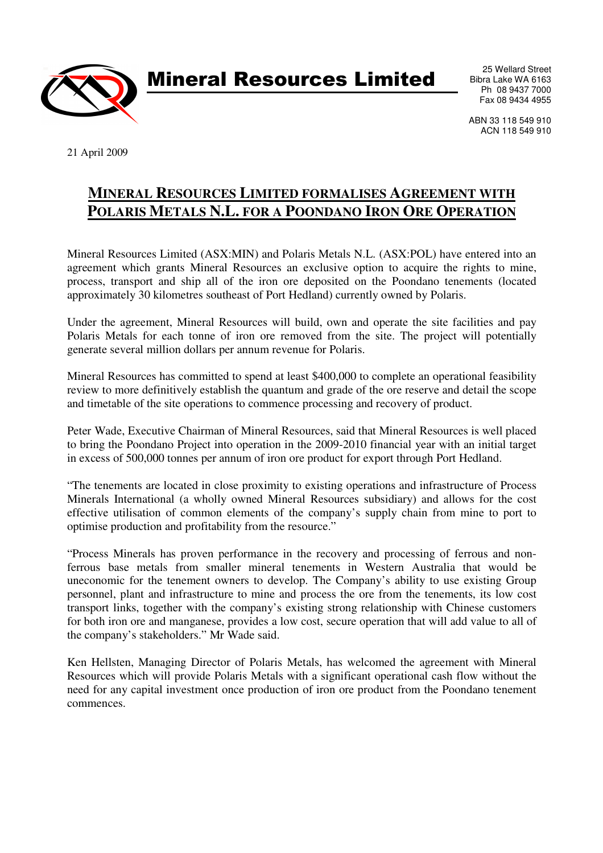

Mineral Resources Limited

25 Wellard Street Bibra Lake WA 6163 Ph 08 9437 7000 Fax 08 9434 4955

ABN 33 118 549 910 ACN 118 549 910

21 April 2009

## **MINERAL RESOURCES LIMITED FORMALISES AGREEMENT WITH POLARIS METALS N.L. FOR A POONDANO IRON ORE OPERATION**

Mineral Resources Limited (ASX:MIN) and Polaris Metals N.L. (ASX:POL) have entered into an agreement which grants Mineral Resources an exclusive option to acquire the rights to mine, process, transport and ship all of the iron ore deposited on the Poondano tenements (located approximately 30 kilometres southeast of Port Hedland) currently owned by Polaris.

Under the agreement, Mineral Resources will build, own and operate the site facilities and pay Polaris Metals for each tonne of iron ore removed from the site. The project will potentially generate several million dollars per annum revenue for Polaris.

Mineral Resources has committed to spend at least \$400,000 to complete an operational feasibility review to more definitively establish the quantum and grade of the ore reserve and detail the scope and timetable of the site operations to commence processing and recovery of product.

Peter Wade, Executive Chairman of Mineral Resources, said that Mineral Resources is well placed to bring the Poondano Project into operation in the 2009-2010 financial year with an initial target in excess of 500,000 tonnes per annum of iron ore product for export through Port Hedland.

"The tenements are located in close proximity to existing operations and infrastructure of Process Minerals International (a wholly owned Mineral Resources subsidiary) and allows for the cost effective utilisation of common elements of the company's supply chain from mine to port to optimise production and profitability from the resource."

"Process Minerals has proven performance in the recovery and processing of ferrous and nonferrous base metals from smaller mineral tenements in Western Australia that would be uneconomic for the tenement owners to develop. The Company's ability to use existing Group personnel, plant and infrastructure to mine and process the ore from the tenements, its low cost transport links, together with the company's existing strong relationship with Chinese customers for both iron ore and manganese, provides a low cost, secure operation that will add value to all of the company's stakeholders." Mr Wade said.

Ken Hellsten, Managing Director of Polaris Metals, has welcomed the agreement with Mineral Resources which will provide Polaris Metals with a significant operational cash flow without the need for any capital investment once production of iron ore product from the Poondano tenement commences.